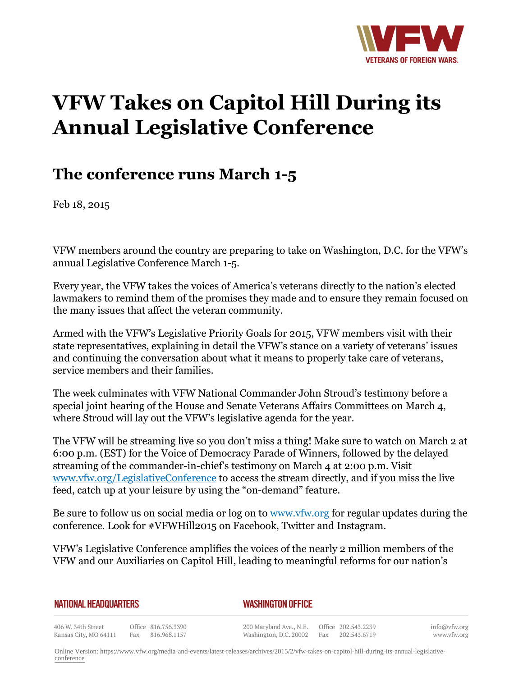

## **VFW Takes on Capitol Hill During its Annual Legislative Conference**

## **The conference runs March 1-5**

Feb 18, 2015

VFW members around the country are preparing to take on Washington, D.C. for the VFW's annual Legislative Conference March 1-5.

Every year, the VFW takes the voices of America's veterans directly to the nation's elected lawmakers to remind them of the promises they made and to ensure they remain focused on the many issues that affect the veteran community.

Armed with the VFW's Legislative Priority Goals for 2015, VFW members visit with their state representatives, explaining in detail the VFW's stance on a variety of veterans' issues and continuing the conversation about what it means to properly take care of veterans, service members and their families.

The week culminates with VFW National Commander John Stroud's testimony before a special joint hearing of the House and Senate Veterans Affairs Committees on March 4, where Stroud will lay out the VFW's legislative agenda for the year.

The VFW will be streaming live so you don't miss a thing! Make sure to watch on March 2 at 6:00 p.m. (EST) for the Voice of Democracy Parade of Winners, followed by the delayed streaming of the commander-in-chief's testimony on March 4 at 2:00 p.m. Visit www.vfw.org/LegislativeConference to access the stream directly, and if you miss the live feed, catch up at your leisure by using the "on-demand" feature.

Be sure to follow us on social media or log on to www.vfw.org for regular updates during the conference. Look for #VFWHill2015 on Facebook, Twitter and Instagram.

VFW's Legislative Conference amplifies the voices of the nearly 2 million members of the VFW and our Auxiliaries on Capitol Hill, leading to meaningful reforms for our nation's

## **NATIONAL HEADQUARTERS**

*WASHINGTON OFFICE* 

406 W. 34th Street Office 816.756.3390 Kansas City, MO 64111 Fax 816.968.1157

200 Maryland Ave., N.E. Washington, D.C. 20002

Office 202.543.2239 Fax 202.543.6719 info@vfw.org www.vfw.org

Online Version: [https://www.vfw.org/media-and-events/latest-releases/archives/2015/2/vfw-takes-on-capitol-hill-during-its-annual-legislative](https://www.vfw.org/media-and-events/latest-releases/archives/2015/2/vfw-takes-on-capitol-hill-during-its-annual-legislative-conference)[conference](https://www.vfw.org/media-and-events/latest-releases/archives/2015/2/vfw-takes-on-capitol-hill-during-its-annual-legislative-conference)